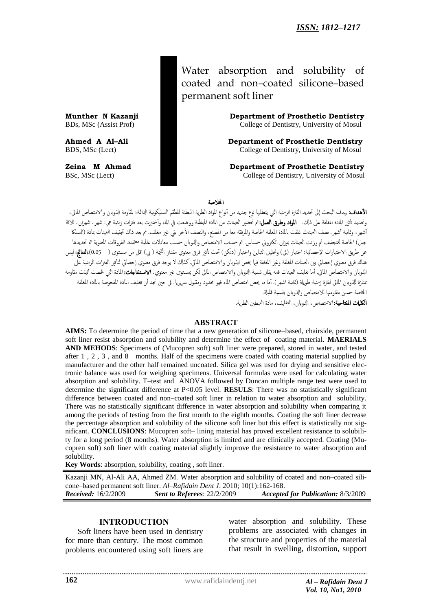Water absorption and solubility of coated and non–coated silicone–based permanent soft liner

**Munther N Kazanji Department of Prosthetic Dentistry**  BDs, MSc (Assist Prof) College of Dentistry, University of Mosul

**Ahmed A Al–Ali Department of Prosthetic Dentistry** BDS, MSc (Lect) College of Dentistry, University of Mosul

**Zeina M Ahmad Department of Prosthetic Dentistry** BSc, MSc (Lect) College of Dentistry, University of Mosul

#### اخلالصة

**الأهداف**: يهدف البحث إلى تحديد الفترة الزمنية التي يتطلبها نوع جديد من أنواع المواد الطرية المبطنة للطقم السليكونية الدائمة؛ لمقاومة الذوبان والامتصاص المائى، وتحديد تأثير المادة المغلفة على ذلك. **المواد وطرق العمل:**تم تحضير العينات من المادة المبطنة ووضعت في الماء وأختبرت بعد فترات زمنية هي: شهر، شهران، ثلاثة أشهر، وثانية أشهر. نصف العينات غلفت بالمادة المغلفة الخاصة والمرفقة معا من المصير، والنصف الأخر بقي غير مغلف. تم بعد ذلك تجفيف العينات بمادة (السلكا جيل) الخاصة للتجفيف ثم وزنت العينات بميزان الكتروني حساس. تم حساب الامتصاص والذوبان حسب معادلات عالمية معتمدة. الفروقات المعنوية تم تحديدها عن طريق الاختبارات الإحصائية: اختبار (تي) وتحليل التباين واختبار (دنكن) تحت تأثير فرق معنوي مقدار القيمة ( بي) اقل من مستوى ( 0.05).**النتائج:** ليس هناك فرق معنوي إحصائي بين العينات المغلفة وغير المغلفة فيا يخص الذوبان والامتصاص المائي. كذلك لا يوجد فرق معنوي إحصائي لتأثير الفترات الزمنية على الذوبان والامتصاص المائي. أما تغليف العينات فانه يقلل نسبة الذوبان والامتصاص المائي لكن بمستوى غير معنوي. **الاستثتاجات:** المادة التي فحصت أثبتت مقاومة متازة للذوبان المائي لفترة زمنية طويلة (ثمانية اشهر). أما ما يخص امتصاص الماء فهو محدود ومقبول سريريا. في حين نجد أن تغليف المادة المفحوصة بالمادة المغلفة الخاصة حسن مقاومتها للامتصاص والذوبان بنسبة قليلة. **الكلمات المفتاحية:**الامتصاص، الذوبان، التغليف، مادة التبطين الطرية.

#### **ABSTRACT**

**AIMS:** To determine the period of time that a new generation of silicone–based, chairside, permanent soft liner resist absorption and solubility and determine the effect of coating material. **MAERIALS AND MEHODS**: Specimens of (Mucopren soft) soft liner were prepared, stored in water, and tested after 1 , 2 , 3 , and 8 months. Half of the specimens were coated with coating material supplied by manufacturer and the other half remained uncoated. Silica gel was used for drying and sensitive electronic balance was used for weighing specimens. Universal formulas were used for calculating water absorption and solubility. T–test and ANOVA followed by Duncan multiple range test were used to determine the significant difference at P<0.05 level. **RESULS**: There was no statistically significant difference between coated and non–coated soft liner in relation to water absorption and solubility. There was no statistically significant difference in water absorption and solubility when comparing it among the periods of testing from the first month to the eighth months. Coating the soft liner decrease the percentage absorption and solubility of the silicone soft liner but this effect is statistically not significant. **CONCLUSIONS**: Mucopren soft– lining material has proved excellent resistance to solubility for a long period (8 months). Water absorption is limited and are clinically accepted. Coating (Mucopren soft) soft liner with coating material slightly improve the resistance to water absorption and solubility.

**Key Words**: absorption, solubility, coating , soft liner.

Kazanji MN, Al-Ali AA, Ahmed ZM. Water absorption and solubility of coated and non–coated silicone–based permanent soft liner. *Al–Rafidain Dent J*. 2010; 10(1):162-168. *Received:* 16/2/2009 *Sent to Referees*: 22/2/2009 *Accepted for Publication:* 8/3/2009

### **INTRODUCTION**

Soft liners have been used in dentistry for more than century. The most common problems encountered using soft liners are

water absorption and solubility. These problems are associated with changes in the structure and properties of the material that result in swelling, distortion, support

www.rafidaindentj.net *Al – Rafidain Dent J*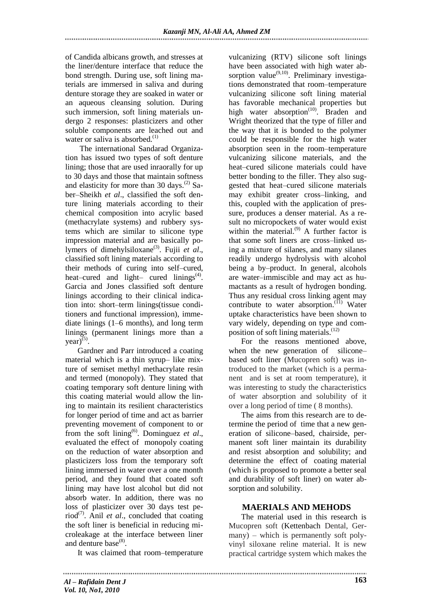of Candida albicans growth, and stresses at the liner/denture interface that reduce the bond strength. During use, soft lining materials are immersed in saliva and during denture storage they are soaked in water or an aqueous cleansing solution. During such immersion, soft lining materials undergo 2 responses: plasticizers and other soluble components are leached out and water or saliva is absorbed. $^{(1)}$ 

The international Sandarad Organization has issued two types of soft denture lining; those that are used inraorally for up to 30 days and those that maintain softness and elasticity for more than 30 days.<sup>(2)</sup> Saber–Sheikh *et al*., classified the soft denture lining materials according to their chemical composition into acrylic based (methacrylate systems) and rubbery systems which are similar to silicone type impression material and are basically polymers of dimehylsiloxane<sup>(3)</sup>. Fujii et al., classified soft lining materials according to their methods of curing into self–cured, heat–cured and light– cured  $\text{linings}^{(4)}$ . Garcia and Jones classified soft denture linings according to their clinical indication into: short–term linings(tissue conditioners and functional impression), immediate linings (1–6 months), and long term linings (permanent linings more than a  $year)$ <sup>(5)</sup>.

Gardner and Parr introduced a coating material which is a thin syrup– like mixture of semiset methyl methacrylate resin and termed (monopoly). They stated that coating temporary soft denture lining with this coating material would allow the lining to maintain its resilient characteristics for longer period of time and act as barrier preventing movement of component to or from the soft lining<sup>(6)</sup>. Dominguez et al., evaluated the effect of monopoly coating on the reduction of water absorption and plasticizers loss from the temporary soft lining immersed in water over a one month period, and they found that coated soft lining may have lost alcohol but did not absorb water. In addition, there was no loss of plasticizer over 30 days test period<sup>(7)</sup>. Anil *et al.*, concluded that coating the soft liner is beneficial in reducing microleakage at the interface between liner and denture base<sup>(8)</sup>.

It was claimed that room–temperature

vulcanizing (RTV) silicone soft linings have been associated with high water absorption value<sup>(9,10)</sup>. Preliminary investigations demonstrated that room–temperature vulcanizing silicone soft lining material has favorable mechanical properties but high water absorption<sup>(10)</sup>. Braden and Wright theorized that the type of filler and the way that it is bonded to the polymer could be responsible for the high water absorption seen in the room–temperature vulcanizing silicone materials, and the heat–cured silicone materials could have better bonding to the filler. They also suggested that heat–cured silicone materials may exhibit greater cross–linking, and this, coupled with the application of pressure, produces a denser material. As a result no micropockets of water would exist within the material. $^{(9)}$  A further factor is that some soft liners are cross–linked using a mixture of silanes, and many silanes readily undergo hydrolysis with alcohol being a by–product. In general, alcohols are water–immiscible and may act as humactants as a result of hydrogen bonding. Thus any residual cross linking agent may contribute to water absorption. $(11)$  Water uptake characteristics have been shown to vary widely, depending on type and composition of soft lining materials. $(12)$ 

For the reasons mentioned above, when the new generation of silicone– based soft liner (Mucopren soft) was introduced to the market (which is a permanent and is set at room temperature), it was interesting to study the characteristics of water absorption and solubility of it over a long period of time ( 8 months).

The aims from this research are to determine the period of time that a new generation of silicone–based, chairside, permanent soft liner maintain its durability and resist absorption and solubility; and determine the effect of coating material (which is proposed to promote a better seal and durability of soft liner) on water absorption and solubility.

# **MAERIALS AND MEHODS**

The material used in this research is Mucopren soft (Kettenbach Dental, Germany) – which is permanently soft polyvinyl siloxane reline material. It is new practical cartridge system which makes the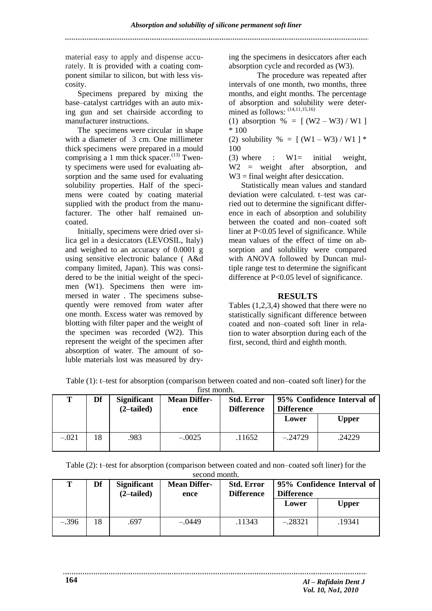material easy to apply and dispense accurately. It is provided with a coating component similar to silicon, but with less viscosity.

Specimens prepared by mixing the base–catalyst cartridges with an auto mixing gun and set chairside according to manufacturer instructions.

The specimens were circular in shape with a diameter of 3 cm. One millimeter thick specimens were prepared in a mould comprising a 1 mm thick spacer.<sup>(13)</sup> Twenty specimens were used for evaluating absorption and the same used for evaluating solubility properties. Half of the specimens were coated by coating material supplied with the product from the manufacturer. The other half remained uncoated.

Initially, specimens were dried over silica gel in a desiccators (LEVOSIL, Italy) and weighed to an accuracy of 0.0001 g using sensitive electronic balance ( A&d company limited, Japan). This was considered to be the initial weight of the specimen (W1). Specimens then were immersed in water . The specimens subsequently were removed from water after one month. Excess water was removed by blotting with filter paper and the weight of the specimen was recorded (W2). This represent the weight of the specimen after absorption of water. The amount of soluble materials lost was measured by drying the specimens in desiccators after each absorption cycle and recorded as (W3).

 The procedure was repeated after intervals of one month, two months, three months, and eight months. The percentage of absorption and solubility were determined as follows:  $(14,11,15,16)$ 

(1) absorption % =  $[(W2-W3)/W1]$ \* 100

(2) solubility % =  $[(W1 - W3)/W1]$  \* 100

(3) where :  $W1 =$  initial weight, W2 = weight after absorption, and W<sub>3</sub> = final weight after desiccation.

Statistically mean values and standard deviation were calculated. t–test was carried out to determine the significant difference in each of absorption and solubility between the coated and non–coated soft liner at P<0.05 level of significance. While mean values of the effect of time on absorption and solubility were compared with ANOVA followed by Duncan multiple range test to determine the significant difference at P<0.05 level of significance.

## **RESULTS**

Tables (1,2,3,4) showed that there were no statistically significant difference between coated and non–coated soft liner in relation to water absorption during each of the first, second, third and eighth month.

|         | птэг шошш. |                                     |                             |                                        |                                                 |              |  |  |  |
|---------|------------|-------------------------------------|-----------------------------|----------------------------------------|-------------------------------------------------|--------------|--|--|--|
| т       | Df         | <b>Significant</b><br>$(2$ -tailed) | <b>Mean Differ-</b><br>ence | <b>Std. Error</b><br><b>Difference</b> | 95% Confidence Interval of<br><b>Difference</b> |              |  |  |  |
|         |            |                                     |                             |                                        | Lower                                           | <b>Upper</b> |  |  |  |
| $-.021$ | 18         | .983                                | $-.0025$                    | .11652                                 | $-.24729$                                       | .24229       |  |  |  |

Table (1): t–test for absorption (comparison between coated and non–coated soft liner) for the first month.

| Table (2): t-test for absorption (comparison between coated and non-coated soft liner) for the |              |  |  |
|------------------------------------------------------------------------------------------------|--------------|--|--|
|                                                                                                | socond month |  |  |

| т       | Df | <b>Significant</b><br>$(2$ -tailed) | <b>Mean Differ-</b><br>ence | <b>Std. Error</b><br><b>Difference</b> | 95% Confidence Interval of<br><b>Difference</b> |              |  |
|---------|----|-------------------------------------|-----------------------------|----------------------------------------|-------------------------------------------------|--------------|--|
|         |    |                                     |                             |                                        | Lower                                           | <b>Upper</b> |  |
| $-.396$ | 18 | .697                                | $-.0449$                    | .11343                                 | $-.28321$                                       | .19341       |  |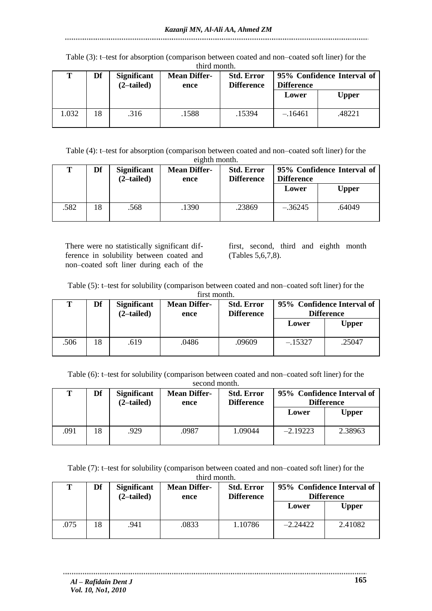Table (3): t–test for absorption (comparison between coated and non–coated soft liner) for the third month.

| Т    | Df | <b>Significant</b><br>$(2$ -tailed) | <b>Mean Differ-</b><br>ence | <b>Std. Error</b><br><b>Difference</b> | 95% Confidence Interval of<br>Difference |        |
|------|----|-------------------------------------|-----------------------------|----------------------------------------|------------------------------------------|--------|
|      |    |                                     |                             |                                        | Lower                                    | Upper  |
| .032 | 18 | .316                                | .1588                       | .15394                                 | $-.16461$                                | .48221 |

Table (4): t–test for absorption (comparison between coated and non–coated soft liner) for the eighth month.

| Т   | Df | <b>Significant</b><br>$(2$ -tailed) | <b>Mean Differ-</b><br>ence | <b>Std. Error</b><br><b>Difference</b> | 95% Confidence Interval of<br><b>Difference</b> |              |
|-----|----|-------------------------------------|-----------------------------|----------------------------------------|-------------------------------------------------|--------------|
|     |    |                                     |                             |                                        | Lower                                           | <b>Upper</b> |
| 582 | 18 | .568                                | .1390                       | .23869                                 | $-.36245$                                       | .64049       |

There were no statistically significant difference in solubility between coated and non–coated soft liner during each of the

first, second, third and eighth month (Tables 5,6,7,8).

Table (5): t–test for solubility (comparison between coated and non–coated soft liner) for the

|  | first month. |
|--|--------------|
|--|--------------|

| Т    | Df | <b>Significant</b><br>$(2$ -tailed) | <b>Mean Differ-</b><br>ence | <b>Std. Error</b><br><b>Difference</b> | 95% Confidence Interval of<br><b>Difference</b> |        |
|------|----|-------------------------------------|-----------------------------|----------------------------------------|-------------------------------------------------|--------|
|      |    |                                     |                             |                                        | Lower                                           | Upper  |
| .506 | 18 | .619                                | .0486                       | .09609                                 | $-.15327$                                       | .25047 |

Table (6): t–test for solubility (comparison between coated and non–coated soft liner) for the

|      | second month. |                                     |                             |                                        |                                                 |              |  |  |  |  |  |
|------|---------------|-------------------------------------|-----------------------------|----------------------------------------|-------------------------------------------------|--------------|--|--|--|--|--|
| т    | Df            | <b>Significant</b><br>$(2$ -tailed) | <b>Mean Differ-</b><br>ence | <b>Std. Error</b><br><b>Difference</b> | 95% Confidence Interval of<br><b>Difference</b> |              |  |  |  |  |  |
|      |               |                                     |                             |                                        | Lower                                           | <b>Upper</b> |  |  |  |  |  |
| .091 | 18            | .929                                | .0987                       | 1.09044                                | $-2.19223$                                      | 2.38963      |  |  |  |  |  |

Table (7): t–test for solubility (comparison between coated and non–coated soft liner) for the third month.

| Т    | Df | <b>Significant</b><br>$(2$ -tailed) | <b>Mean Differ-</b><br>ence | <b>Std. Error</b><br><b>Difference</b> | 95% Confidence Interval of<br><b>Difference</b> |         |
|------|----|-------------------------------------|-----------------------------|----------------------------------------|-------------------------------------------------|---------|
|      |    |                                     |                             |                                        | Lower                                           | Upper   |
| .075 | 18 | .941                                | .0833                       | 1.10786                                | $-2.24422$                                      | 2.41082 |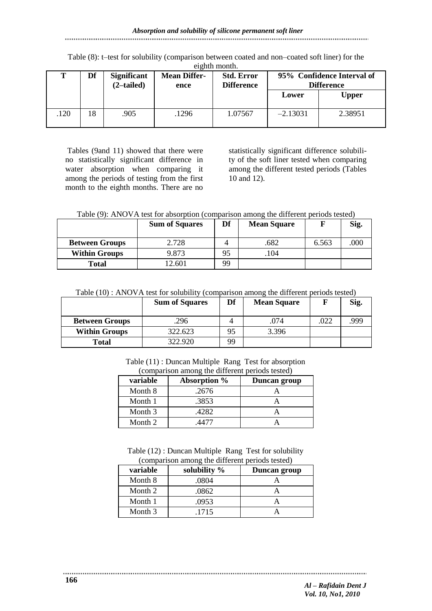#### Table (8): t–test for solubility (comparison between coated and non–coated soft liner) for the eighth month.

| т   | Df | <b>Significant</b><br>$(2$ -tailed) | <b>Mean Differ-</b><br>ence | <b>Std. Error</b><br><b>Difference</b> | 95% Confidence Interval of<br><b>Difference</b> |         |
|-----|----|-------------------------------------|-----------------------------|----------------------------------------|-------------------------------------------------|---------|
|     |    |                                     |                             |                                        | Lower                                           | Upper   |
| 120 | 18 | .905                                | 1296                        | 1.07567                                | $-2.13031$                                      | 2.38951 |

Tables (9and 11) showed that there were no statistically significant difference in water absorption when comparing it among the periods of testing from the first month to the eighth months. There are no

statistically significant difference solubility of the soft liner tested when comparing among the different tested periods (Tables 10 and 12).

Table (9): ANOVA test for absorption (comparison among the different periods tested)

|                       | <b>Sum of Squares</b> | Df | <b>Mean Square</b> |       | Sig. |
|-----------------------|-----------------------|----|--------------------|-------|------|
| <b>Between Groups</b> | 2.728                 |    | .682               | 6.563 | .000 |
| <b>Within Groups</b>  | 9.873                 | 95 | 104                |       |      |
| <b>Total</b>          | 12.601                | 99 |                    |       |      |

Table (10) : ANOVA test for solubility (comparison among the different periods tested)

|                       | <b>Sum of Squares</b> | Df | <b>Mean Square</b> |      | Sig. |
|-----------------------|-----------------------|----|--------------------|------|------|
| <b>Between Groups</b> | 296                   |    | .074               | .022 | .999 |
| <b>Within Groups</b>  | 322.623               | 95 | 3.396              |      |      |
| <b>Total</b>          | 322.920               | 99 |                    |      |      |

Table (11) : Duncan Multiple Rang Test for absorption (comparison among the different periods tested)

| variable | Absorption % | Duncan group |
|----------|--------------|--------------|
| Month 8  | .2676        |              |
| Month 1  | .3853        |              |
| Month 3  | .4282        |              |
| Month 2  |              |              |

Table (12) : Duncan Multiple Rang Test for solubility (comparison among the different periods tested)

| variable | solubility % | Duncan group |
|----------|--------------|--------------|
| Month 8  | .0804        |              |
| Month 2  | .0862        |              |
| Month 1  | .0953        |              |
| Month 3  | .1715        |              |

........................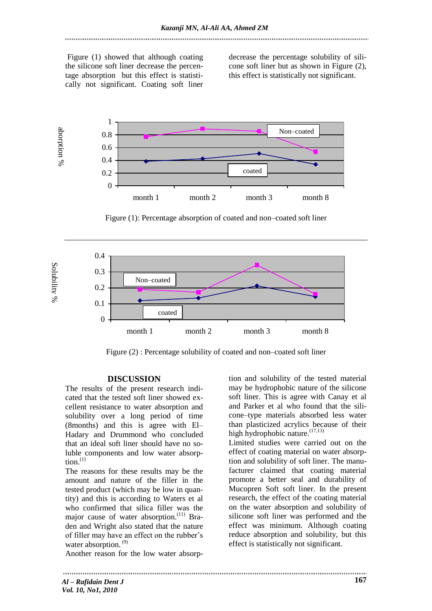Figure (1) showed that although coating the silicone soft liner decrease the percentage absorption but this effect is statistically not significant. Coating soft liner decrease the percentage solubility of silicone soft liner but as shown in Figure (2), this effect is statistically not significant.



Figure (1): Percentage absorption of coated and non–coated soft liner



Figure (2) : Percentage solubility of coated and non–coated soft liner

### **DISCUSSION**

The results of the present research indicated that the tested soft liner showed excellent resistance to water absorption and solubility over a long period of time (8months) and this is agree with El– Hadary and Drummond who concluded that an ideal soft liner should have no soluble components and low water absorp- $\text{tion.}^{(1)}$ 

The reasons for these results may be the amount and nature of the filler in the tested product (which may be low in quantity) and this is according to Waters et al who confirmed that silica filler was the major cause of water absorption.<sup>(11)</sup> Braden and Wright also stated that the nature of filler may have an effect on the rubber's water absorption.<sup>(9)</sup>

Another reason for the low water absorp-

tion and solubility of the tested material may be hydrophobic nature of the silicone soft liner. This is agree with Canay et al and Parker et al who found that the silicone–type materials absorbed less water than plasticized acrylics because of their high hydrophobic nature.<sup>(17,13)</sup>

Limited studies were carried out on the effect of coating material on water absorption and solubility of soft liner. The manufacturer claimed that coating material promote a better seal and durability of Mucopren Soft soft liner. In the present research, the effect of the coating material on the water absorption and solubility of silicone soft liner was performed and the effect was minimum. Although coating reduce absorption and solubility, but this effect is statistically not significant.